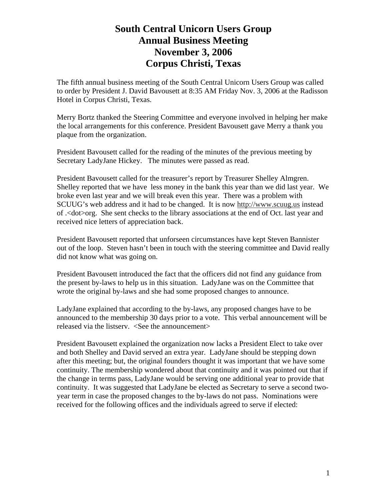## **South Central Unicorn Users Group Annual Business Meeting November 3, 2006 Corpus Christi, Texas**

The fifth annual business meeting of the South Central Unicorn Users Group was called to order by President J. David Bavousett at 8:35 AM Friday Nov. 3, 2006 at the Radisson Hotel in Corpus Christi, Texas.

Merry Bortz thanked the Steering Committee and everyone involved in helping her make the local arrangements for this conference. President Bavousett gave Merry a thank you plaque from the organization.

President Bavousett called for the reading of the minutes of the previous meeting by Secretary LadyJane Hickey. The minutes were passed as read.

President Bavousett called for the treasurer's report by Treasurer Shelley Almgren. Shelley reported that we have less money in the bank this year than we did last year. We broke even last year and we will break even this year. There was a problem with SCUUG's web address and it had to be changed. It is now http://www.scuug.us instead of .<dot>org. She sent checks to the library associations at the end of Oct. last year and received nice letters of appreciation back.

President Bavousett reported that unforseen circumstances have kept Steven Bannister out of the loop. Steven hasn't been in touch with the steering committee and David really did not know what was going on.

President Bavousett introduced the fact that the officers did not find any guidance from the present by-laws to help us in this situation. LadyJane was on the Committee that wrote the original by-laws and she had some proposed changes to announce.

LadyJane explained that according to the by-laws, any proposed changes have to be announced to the membership 30 days prior to a vote. This verbal announcement will be released via the listserv. <See the announcement>

President Bavousett explained the organization now lacks a President Elect to take over and both Shelley and David served an extra year. LadyJane should be stepping down after this meeting; but, the original founders thought it was important that we have some continuity. The membership wondered about that continuity and it was pointed out that if the change in terms pass, LadyJane would be serving one additional year to provide that continuity. It was suggested that LadyJane be elected as Secretary to serve a second twoyear term in case the proposed changes to the by-laws do not pass. Nominations were received for the following offices and the individuals agreed to serve if elected: